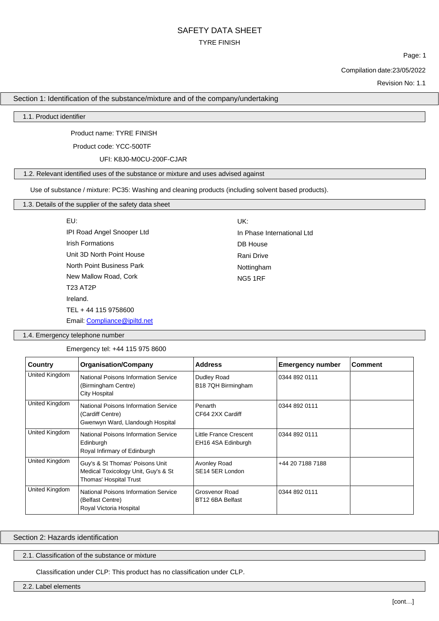Page: 1

Compilation date:23/05/2022

Revision No: 1.1

Section 1: Identification of the substance/mixture and of the company/undertaking

1.1. Product identifier

Product name: TYRE FINISH

Product code: YCC-500TF

UFI: K8J0-M0CU-200F-CJAR

#### 1.2. Relevant identified uses of the substance or mixture and uses advised against

Use of substance / mixture: PC35: Washing and cleaning products (including solvent based products).

| EU: |
|-----|

IPI Road Angel Snooper Ltd Irish Formations Unit 3D North Point House North Point Business Park New Mallow Road, Cork T23 AT2P Ireland. TEL + 44 115 9758600 Email: [Compliance@ipiltd.net](mailto:Compliance@ipiltd.net) UK:

In Phase International Ltd DB House Rani Drive Nottingham NG5 1RF

1.4. Emergency telephone number

Emergency tel: +44 115 975 8600

| Country        | <b>Organisation/Company</b>                                                                      | <b>Address</b>                               | <b>Emergency number</b> | <b>Comment</b> |
|----------------|--------------------------------------------------------------------------------------------------|----------------------------------------------|-------------------------|----------------|
| United Kingdom | National Poisons Information Service<br>(Birmingham Centre)<br>City Hospital                     | Dudley Road<br>B18 7QH Birmingham            | 0344 892 0111           |                |
| United Kingdom | National Poisons Information Service<br>(Cardiff Centre)<br>Gwenwyn Ward, Llandough Hospital     | Penarth<br>CF64 2XX Cardiff                  | 0344 892 0111           |                |
| United Kingdom | National Poisons Information Service<br>Edinburgh<br>Royal Infirmary of Edinburgh                | Little France Crescent<br>EH16 4SA Edinburgh | 0344 892 0111           |                |
| United Kingdom | Guy's & St Thomas' Poisons Unit<br>Medical Toxicology Unit, Guy's & St<br>Thomas' Hospital Trust | Avonley Road<br>SE <sub>14</sub> 5ER London  | +44 20 7188 7188        |                |
| United Kingdom | National Poisons Information Service<br>(Belfast Centre)<br>Royal Victoria Hospital              | Grosvenor Road<br>BT12 6BA Belfast           | 0344 892 0111           |                |

### Section 2: Hazards identification

#### 2.1. Classification of the substance or mixture

Classification under CLP: This product has no classification under CLP.

2.2. Label elements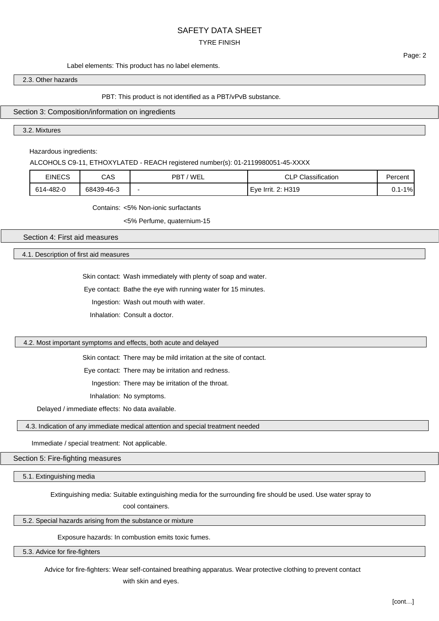# SAFETY DATA SHEET

## TYRE FINISH

#### Label elements: This product has no label elements.

#### 2.3. Other hazards

#### PBT: This product is not identified as a PBT/vPvB substance.

#### Section 3: Composition/information on ingredients

3.2. Mixtures

Hazardous ingredients:

ALCOHOLS C9-11, ETHOXYLATED - REACH registered number(s): 01-2119980051-45-XXXX

| <b>EINECS</b> | CAS        | 'WEL<br>PBT | Classification<br>CLP<br>$\sim$ | Percent                |
|---------------|------------|-------------|---------------------------------|------------------------|
| 614-482-0     | 68439-46-3 |             | . 2: H319<br>Eve<br>Irrit.      | $1\%$<br>$\sim$<br>υ., |

Contains: <5% Non-ionic surfactants

<5% Perfume, quaternium-15

Section 4: First aid measures

4.1. Description of first aid measures

Skin contact: Wash immediately with plenty of soap and water.

Eye contact: Bathe the eye with running water for 15 minutes.

Ingestion: Wash out mouth with water.

Inhalation: Consult a doctor.

#### 4.2. Most important symptoms and effects, both acute and delayed

Skin contact: There may be mild irritation at the site of contact.

Eye contact: There may be irritation and redness.

Ingestion: There may be irritation of the throat.

Inhalation: No symptoms.

Delayed / immediate effects: No data available.

4.3. Indication of any immediate medical attention and special treatment needed

Immediate / special treatment: Not applicable.

Section 5: Fire-fighting measures

5.1. Extinguishing media

Extinguishing media: Suitable extinguishing media for the surrounding fire should be used. Use water spray to

cool containers.

5.2. Special hazards arising from the substance or mixture

Exposure hazards: In combustion emits toxic fumes.

5.3. Advice for fire-fighters

Advice for fire-fighters: Wear self-contained breathing apparatus. Wear protective clothing to prevent contact

with skin and eyes.

Page: 2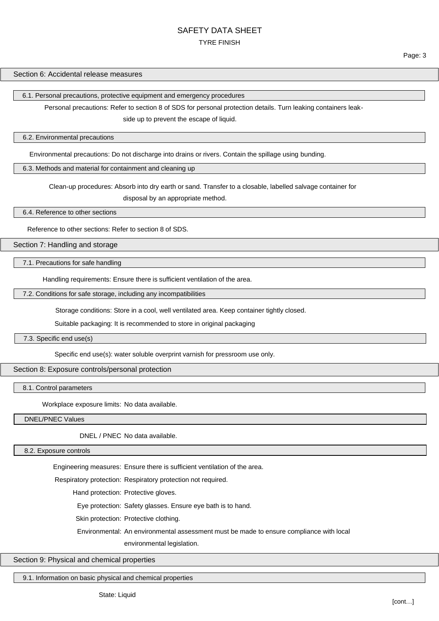Page: 3

#### Section 6: Accidental release measures

6.1. Personal precautions, protective equipment and emergency procedures

Personal precautions: Refer to section 8 of SDS for personal protection details. Turn leaking containers leak-

side up to prevent the escape of liquid.

#### 6.2. Environmental precautions

Environmental precautions: Do not discharge into drains or rivers. Contain the spillage using bunding.

## 6.3. Methods and material for containment and cleaning up

Clean-up procedures: Absorb into dry earth or sand. Transfer to a closable, labelled salvage container for

disposal by an appropriate method.

6.4. Reference to other sections

Reference to other sections: Refer to section 8 of SDS.

Section 7: Handling and storage

7.1. Precautions for safe handling

Handling requirements: Ensure there is sufficient ventilation of the area.

7.2. Conditions for safe storage, including any incompatibilities

Storage conditions: Store in a cool, well ventilated area. Keep container tightly closed.

Suitable packaging: It is recommended to store in original packaging

7.3. Specific end use(s)

Specific end use(s): water soluble overprint varnish for pressroom use only.

Section 8: Exposure controls/personal protection

8.1. Control parameters

Workplace exposure limits: No data available.

DNEL/PNEC Values

DNEL / PNEC No data available.

8.2. Exposure controls

Engineering measures: Ensure there is sufficient ventilation of the area.

Respiratory protection: Respiratory protection not required.

Hand protection: Protective gloves.

Eye protection: Safety glasses. Ensure eye bath is to hand.

Skin protection: Protective clothing.

Environmental: An environmental assessment must be made to ensure compliance with local environmental legislation.

#### Section 9: Physical and chemical properties

9.1. Information on basic physical and chemical properties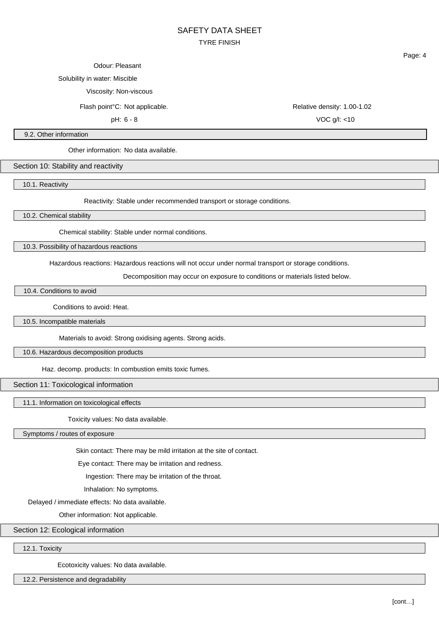#### Odour: Pleasant

Solubility in water: Miscible

Viscosity: Non-viscous

Flash point°C: Not applicable. Relative density: 1.00-1.02

Page: 4

pH: 6 - 8 VOC g/l: <10

9.2. Other information

Other information: No data available.

Section 10: Stability and reactivity

10.1. Reactivity

Reactivity: Stable under recommended transport or storage conditions.

10.2. Chemical stability

Chemical stability: Stable under normal conditions.

10.3. Possibility of hazardous reactions

Hazardous reactions: Hazardous reactions will not occur under normal transport or storage conditions.

Decomposition may occur on exposure to conditions or materials listed below.

10.4. Conditions to avoid

Conditions to avoid: Heat.

10.5. Incompatible materials

Materials to avoid: Strong oxidising agents. Strong acids.

10.6. Hazardous decomposition products

Haz. decomp. products: In combustion emits toxic fumes.

Section 11: Toxicological information

11.1. Information on toxicological effects

Toxicity values: No data available.

Symptoms / routes of exposure

Skin contact: There may be mild irritation at the site of contact.

Eye contact: There may be irritation and redness.

Ingestion: There may be irritation of the throat.

Inhalation: No symptoms.

Delayed / immediate effects: No data available.

Other information: Not applicable.

Section 12: Ecological information

12.1. Toxicity

Ecotoxicity values: No data available.

12.2. Persistence and degradability